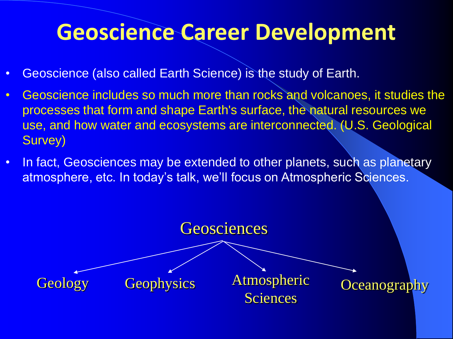# **Geoscience Career Development**

- Geoscience (also called Earth Science) is the study of Earth.
- Geoscience includes so much more than rocks and volcanoes, it studies the processes that form and shape Earth's surface, the natural resources we use, and how water and ecosystems are interconnected. (U.S. Geological Survey)
- In fact, Geosciences may be extended to other planets, such as planetary atmosphere, etc. In today's talk, we'll focus on Atmospheric Sciences.

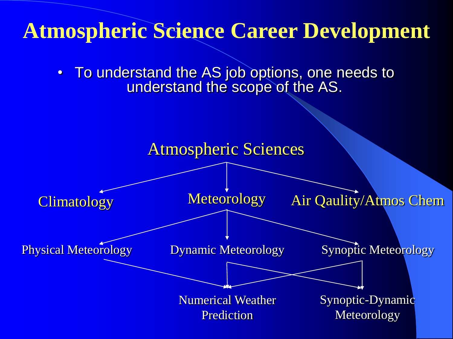## **Atmospheric Science Career Development**

• To understand the AS job options, one needs to understand the scope of the AS.

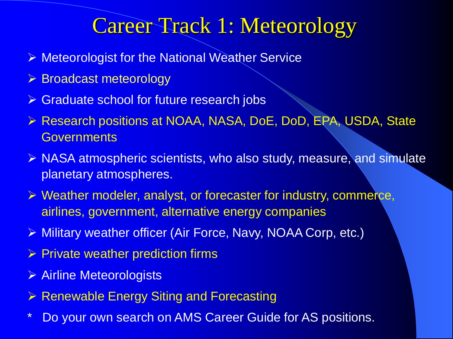#### Career Track 1: Meteorology

- ▶ Meteorologist for the National Weather Service
- $\triangleright$  Broadcast meteorology
- **Staduate school for future research jobs**
- ▶ Research positions at NOAA, NASA, DoE, DoD, EPA, USDA, State **Governments**
- $\triangleright$  NASA atmospheric scientists, who also study, measure, and simulate planetary atmospheres.
- $\triangleright$  Weather modeler, analyst, or forecaster for industry, commerce, airlines, government, alternative energy companies
- Military weather officer (Air Force, Navy, NOAA Corp, etc.)
- $\triangleright$  Private weather prediction firms
- Airline Meteorologists
- $\triangleright$  Renewable Energy Siting and Forecasting
- \* Do your own search on AMS Career Guide for AS positions.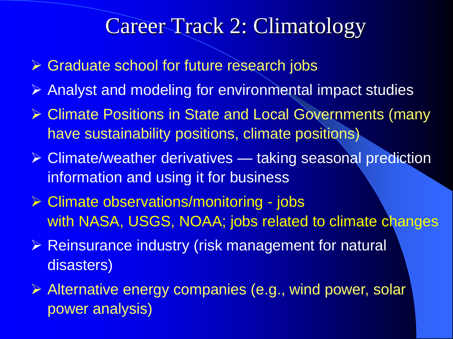#### Career Track 2: Climatology

- **► Graduate school for future research jobs**
- Analyst and modeling for environmental impact studies
- ▶ Climate Positions in State and Local Governments (many have sustainability positions, climate positions)
- $\triangleright$  Climate/weather derivatives taking seasonal prediction information and using it for business
- $\triangleright$  Climate observations/monitoring jobs with NASA, USGS, NOAA; jobs related to climate changes
- Reinsurance industry (risk management for natural disasters)
- Alternative energy companies (e.g., wind power, solar power analysis)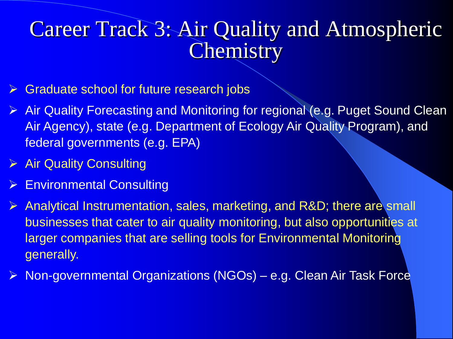### Career Track 3: Air Quality and Atmospheric **Chemistry**

- Graduate school for future research jobs
- ▶ Air Quality Forecasting and Monitoring for regional (e.g. Puget Sound Clean Air Agency), state (e.g. Department of Ecology Air Quality Program), and federal governments (e.g. EPA)
- $\triangleright$  Air Quality Consulting
- **► Environmental Consulting**
- $\triangleright$  Analytical Instrumentation, sales, marketing, and R&D; there are small businesses that cater to air quality monitoring, but also opportunities at larger companies that are selling tools for Environmental Monitoring generally.
- ▶ Non-governmental Organizations (NGOs) e.g. Clean Air Task Force